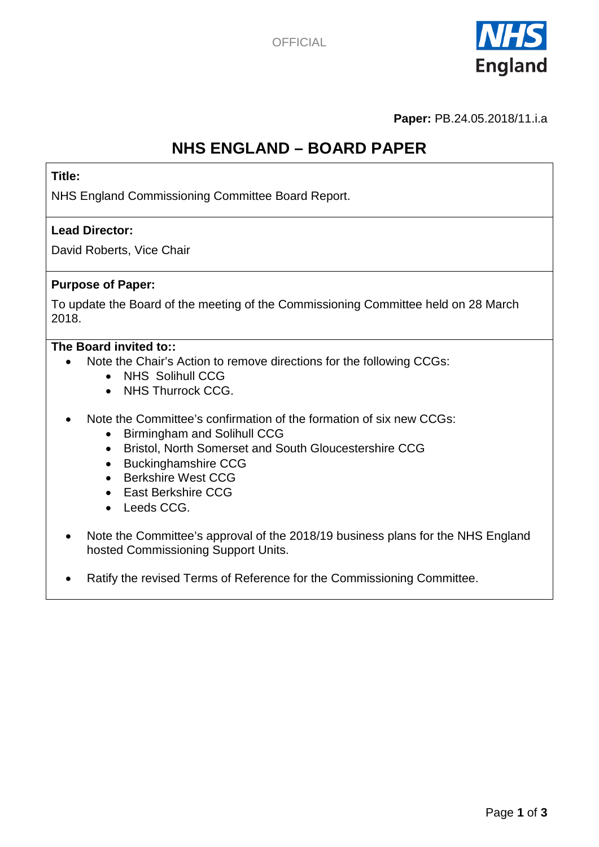

**Paper:** PB.24.05.2018/11.i.a

# **NHS ENGLAND – BOARD PAPER**

### **Title:**

NHS England Commissioning Committee Board Report.

#### **Lead Director:**

David Roberts, Vice Chair

#### **Purpose of Paper:**

To update the Board of the meeting of the Commissioning Committee held on 28 March 2018.

#### **The Board invited to::**

- Note the Chair's Action to remove directions for the following CCGs:
	- NHS Solihull CCG
	- NHS Thurrock CCG.
- Note the Committee's confirmation of the formation of six new CCGs:
	- Birmingham and Solihull CCG
	- Bristol, North Somerset and South Gloucestershire CCG
	- Buckinghamshire CCG
	- Berkshire West CCG
	- East Berkshire CCG
	- Leeds CCG.
- Note the Committee's approval of the 2018/19 business plans for the NHS England hosted Commissioning Support Units.
- Ratify the revised Terms of Reference for the Commissioning Committee.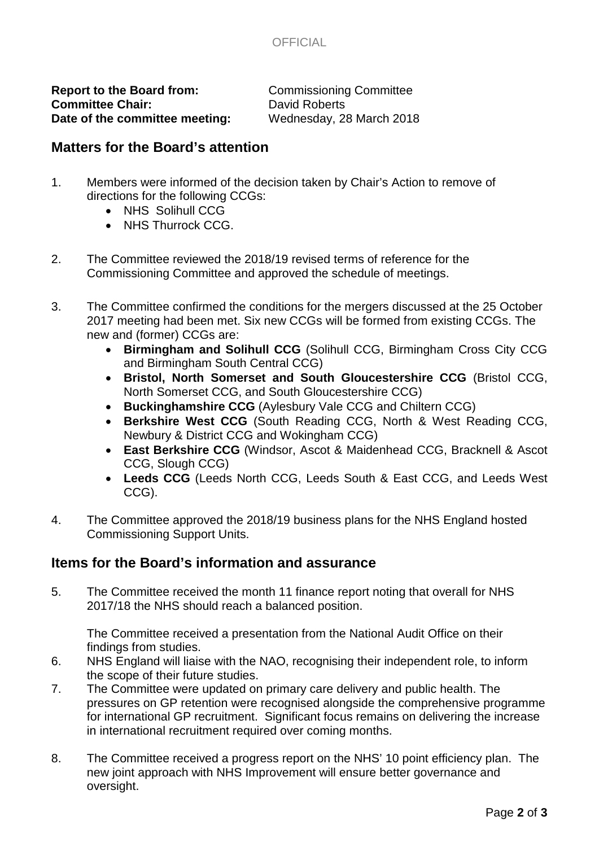

**Report to the Board from:** Commissioning Committee Committee Committee Committee Committee Committee Committee Committee Committee Committee Committee Committee Committee Committee Committee Committee Committee Committee **Committee Chair:** David Roberts<br> **Date of the committee meeting:** Wednesday, 28 March 2018 Date of the committee meeting:

### **Matters for the Board's attention**

- 1. Members were informed of the decision taken by Chair's Action to remove of directions for the following CCGs:
	- NHS Solihull CCG
	- NHS Thurrock CCG.
- 2. The Committee reviewed the 2018/19 revised terms of reference for the Commissioning Committee and approved the schedule of meetings.
- 3. The Committee confirmed the conditions for the mergers discussed at the 25 October 2017 meeting had been met. Six new CCGs will be formed from existing CCGs. The new and (former) CCGs are:
	- **Birmingham and Solihull CCG** (Solihull CCG, Birmingham Cross City CCG and Birmingham South Central CCG)
	- **Bristol, North Somerset and South Gloucestershire CCG** (Bristol CCG, North Somerset CCG, and South Gloucestershire CCG)
	- **Buckinghamshire CCG** (Aylesbury Vale CCG and Chiltern CCG)
	- **Berkshire West CCG** (South Reading CCG, North & West Reading CCG, Newbury & District CCG and Wokingham CCG)
	- **East Berkshire CCG** (Windsor, Ascot & Maidenhead CCG, Bracknell & Ascot CCG, Slough CCG)
	- **Leeds CCG** (Leeds North CCG, Leeds South & East CCG, and Leeds West CCG).
- 4. The Committee approved the 2018/19 business plans for the NHS England hosted Commissioning Support Units.

# **Items for the Board's information and assurance**

5. The Committee received the month 11 finance report noting that overall for NHS 2017/18 the NHS should reach a balanced position.

The Committee received a presentation from the National Audit Office on their findings from studies.

- 6. NHS England will liaise with the NAO, recognising their independent role, to inform the scope of their future studies.
- 7. The Committee were updated on primary care delivery and public health. The pressures on GP retention were recognised alongside the comprehensive programme for international GP recruitment. Significant focus remains on delivering the increase in international recruitment required over coming months.
- 8. The Committee received a progress report on the NHS' 10 point efficiency plan. The new joint approach with NHS Improvement will ensure better governance and oversight.